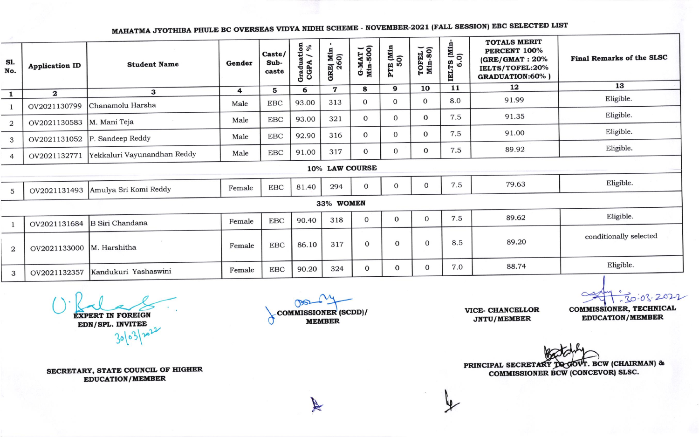MAHATMA JYOTHIBA PHULE BC OVERSEAS VIDYA NIDHI SCHEME - NOVEMBER-2021 (FALL SESSION) EBC SELECTED LIST

| <b>S1.</b><br>No. | <b>Application ID</b> | <b>Student Name</b>         | Gender | Caste/<br>Sub-<br>caste | tion<br>$/$ %<br>GGPA | <b>GRE( Min)</b><br>260) | $G-MAT$ (<br>Min-500) | E (Min<br>50)<br>PTE | TOFEL (<br>Min-80) | IELTS (Min-<br>6.0) | <b>TOTALS MERIT</b><br>PERCENT 100%<br>(GRE/GMAT: 20%<br>IELTS/TOFEL:20% | Final Remarks of the SLSC |
|-------------------|-----------------------|-----------------------------|--------|-------------------------|-----------------------|--------------------------|-----------------------|----------------------|--------------------|---------------------|--------------------------------------------------------------------------|---------------------------|
|                   |                       |                             |        |                         |                       |                          |                       |                      |                    |                     | <b>GRADUATION:60%)</b>                                                   | 13                        |
| 1                 | $\mathbf 2$           | 3                           | 4      | 5                       | 6                     | $\mathbf{7}$             | 8                     | 9                    | 10                 | 11                  | 12                                                                       |                           |
|                   | OV2021130799          | Chanamolu Harsha            | Male   | <b>EBC</b>              | 93.00                 | 313                      | 0                     | $\Omega$             | $\mathbf 0$        | 8.0                 | 91.99                                                                    | Eligible.                 |
| $\overline{2}$    | OV2021130583          | M. Mani Teja                | Male   | EBC                     | 93.00                 | 321                      | 0                     | $\Omega$             | $\mathbf{O}$       | 7.5                 | 91.35                                                                    | Eligible.                 |
| 3                 | OV2021131052          | P. Sandeep Reddy            | Male   | <b>EBC</b>              | 92.90                 | 316                      | $\overline{0}$        | $\Omega$             | $\mathbf 0$        | 7.5                 | 91.00                                                                    | Eligible.                 |
| $\overline{4}$    | OV2021132771          | Yekkaluri Vayunandhan Reddy | Male   | <b>EBC</b>              | 91.00                 | 317                      | $\mathbf 0$           | $\mathbf{0}$         | $\mathbf 0$        | 7.5                 | 89.92                                                                    | Eligible.                 |
| 10% LAW COURSE    |                       |                             |        |                         |                       |                          |                       |                      |                    |                     |                                                                          |                           |
| 5                 | OV2021131493          | Amulya Sri Komi Reddy       | Female | EBC                     | 81.40                 | 294                      | $\mathbf{0}$          | $\Omega$             | $\mathbf{0}$       | 7.5                 | 79.63                                                                    | Eligible.                 |
| 33% WOMEN         |                       |                             |        |                         |                       |                          |                       |                      |                    |                     |                                                                          |                           |
|                   |                       |                             |        | <b>EBC</b>              | 90.40                 | 318                      | $\mathbf{O}$          | $\Omega$             | $\Omega$           | 7.5                 | 89.62                                                                    | Eligible.                 |
|                   | OV2021131684          | B Siri Chandana             | Female |                         |                       |                          |                       |                      |                    |                     |                                                                          |                           |
| $\overline{2}$    | OV2021133000          | M. Harshitha                | Female | <b>EBC</b>              | 86.10                 | 317                      | $\mathbf{0}$          | $\Omega$             | $\Omega$           | 8.5                 | 89.20                                                                    | conditionally selected    |
| 3                 | OV2021132357          | Kandukuri Yashaswini        | Female | <b>EBC</b>              | 90.20                 | 324                      | $\mathbf{O}$          | $\mathbf{0}$         | $\Omega$           | 7.0                 | 88.74                                                                    | Eligible.                 |

**EXPERT IN FOREIGN** EDN/SPL. INVITEE

SECRETARY, STATE COUNCIL OF HIGHER **EDUCATION/MEMBER** 

COMMISSIONER (SCDD)/ **MEMBER** 

VICE- CHANCELLOR JNTU/MEMBER

 $-20.03.2022$ 

**COMMISSIONER, TECHNICAL EDUCATION/MEMBER** 

PRINCIPAL SECRETARY TO GOVT. BCW (CHAIRMAN) & **COMMISSIONER BCW (CONCEVOR) SLSC.**